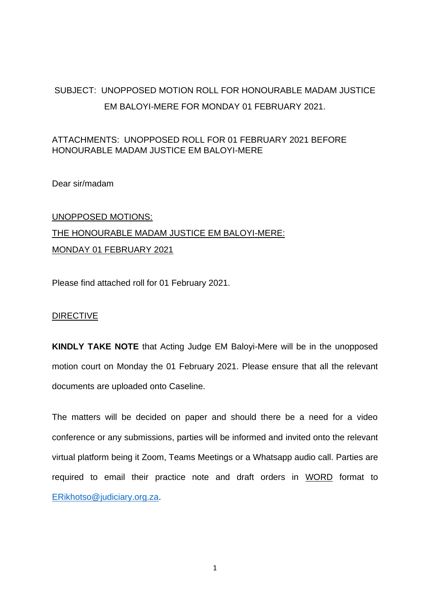## SUBJECT: UNOPPOSED MOTION ROLL FOR HONOURABLE MADAM JUSTICE EM BALOYI-MERE FOR MONDAY 01 FEBRUARY 2021.

### ATTACHMENTS: UNOPPOSED ROLL FOR 01 FEBRUARY 2021 BEFORE HONOURABLE MADAM JUSTICE EM BALOYI-MERE

Dear sir/madam

# UNOPPOSED MOTIONS: THE HONOURABLE MADAM JUSTICE EM BALOYI-MERE: MONDAY 01 FEBRUARY 2021

Please find attached roll for 01 February 2021.

### DIRECTIVE

**KINDLY TAKE NOTE** that Acting Judge EM Baloyi-Mere will be in the unopposed motion court on Monday the 01 February 2021. Please ensure that all the relevant documents are uploaded onto Caseline.

The matters will be decided on paper and should there be a need for a video conference or any submissions, parties will be informed and invited onto the relevant virtual platform being it Zoom, Teams Meetings or a Whatsapp audio call. Parties are required to email their practice note and draft orders in WORD format to [ERikhotso@judiciary.org.za.](mailto:ERikhotso@judiciary.org.za)